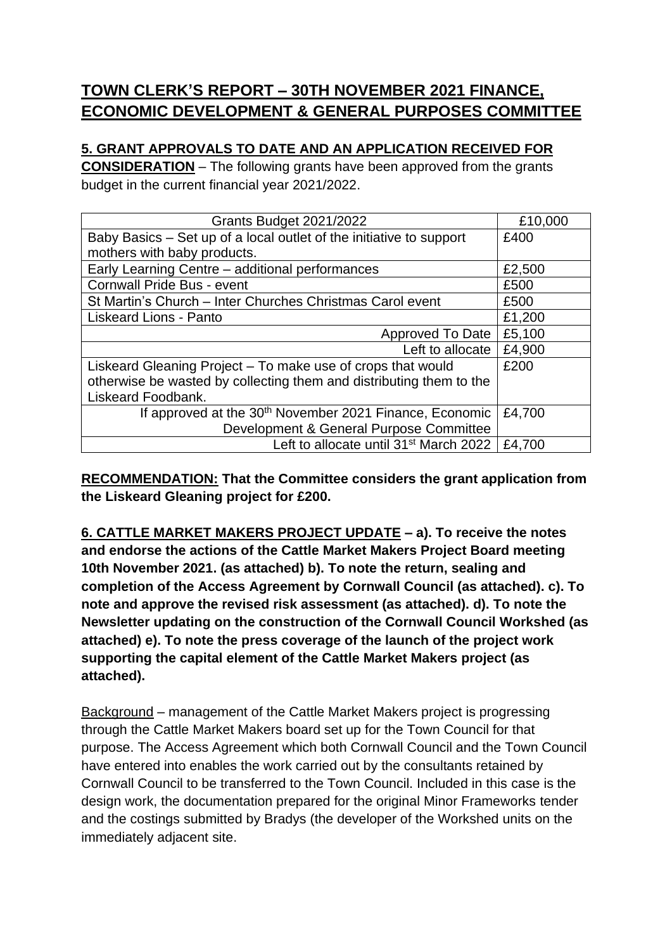## **TOWN CLERK'S REPORT – 30TH NOVEMBER 2021 FINANCE, ECONOMIC DEVELOPMENT & GENERAL PURPOSES COMMITTEE**

## **5. GRANT APPROVALS TO DATE AND AN APPLICATION RECEIVED FOR**

**CONSIDERATION** – The following grants have been approved from the grants budget in the current financial year 2021/2022.

| Grants Budget 2021/2022                                             | £10,000 |
|---------------------------------------------------------------------|---------|
| Baby Basics – Set up of a local outlet of the initiative to support | £400    |
| mothers with baby products.                                         |         |
| Early Learning Centre - additional performances                     | £2,500  |
| <b>Cornwall Pride Bus - event</b>                                   | £500    |
| St Martin's Church - Inter Churches Christmas Carol event           | £500    |
| <b>Liskeard Lions - Panto</b>                                       | £1,200  |
| <b>Approved To Date</b>                                             | £5,100  |
| Left to allocate                                                    | £4,900  |
| Liskeard Gleaning Project – To make use of crops that would         | £200    |
| otherwise be wasted by collecting them and distributing them to the |         |
| Liskeard Foodbank.                                                  |         |
| If approved at the 30 <sup>th</sup> November 2021 Finance, Economic | £4,700  |
| Development & General Purpose Committee                             |         |
| Left to allocate until 31 <sup>st</sup> March 2022                  | £4,700  |

**RECOMMENDATION: That the Committee considers the grant application from the Liskeard Gleaning project for £200.** 

**6. CATTLE MARKET MAKERS PROJECT UPDATE – a). To receive the notes and endorse the actions of the Cattle Market Makers Project Board meeting 10th November 2021. (as attached) b). To note the return, sealing and completion of the Access Agreement by Cornwall Council (as attached). c). To note and approve the revised risk assessment (as attached). d). To note the Newsletter updating on the construction of the Cornwall Council Workshed (as attached) e). To note the press coverage of the launch of the project work supporting the capital element of the Cattle Market Makers project (as attached).** 

Background – management of the Cattle Market Makers project is progressing through the Cattle Market Makers board set up for the Town Council for that purpose. The Access Agreement which both Cornwall Council and the Town Council have entered into enables the work carried out by the consultants retained by Cornwall Council to be transferred to the Town Council. Included in this case is the design work, the documentation prepared for the original Minor Frameworks tender and the costings submitted by Bradys (the developer of the Workshed units on the immediately adjacent site.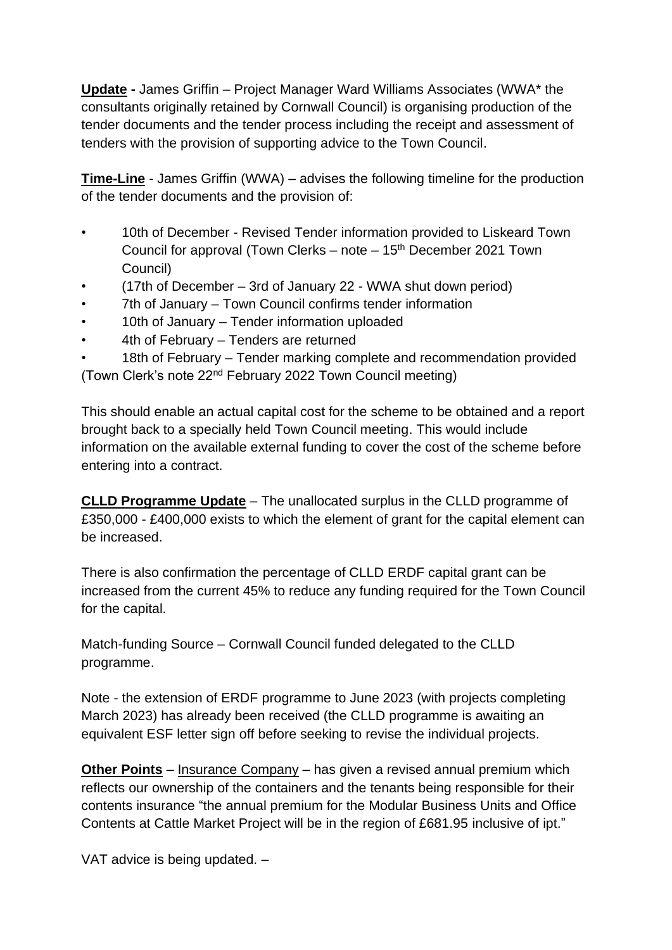**Update -** James Griffin – Project Manager Ward Williams Associates (WWA\* the consultants originally retained by Cornwall Council) is organising production of the tender documents and the tender process including the receipt and assessment of tenders with the provision of supporting advice to the Town Council.

**Time-Line** - James Griffin (WWA) – advises the following timeline for the production of the tender documents and the provision of:

- 10th of December Revised Tender information provided to Liskeard Town Council for approval (Town Clerks – note – 15<sup>th</sup> December 2021 Town Council)
- (17th of December 3rd of January 22 WWA shut down period)
- 7th of January Town Council confirms tender information
- 10th of January Tender information uploaded
- 4th of February Tenders are returned
- 18th of February Tender marking complete and recommendation provided (Town Clerk's note 22nd February 2022 Town Council meeting)

This should enable an actual capital cost for the scheme to be obtained and a report brought back to a specially held Town Council meeting. This would include information on the available external funding to cover the cost of the scheme before entering into a contract.

**CLLD Programme Update** – The unallocated surplus in the CLLD programme of £350,000 - £400,000 exists to which the element of grant for the capital element can be increased.

There is also confirmation the percentage of CLLD ERDF capital grant can be increased from the current 45% to reduce any funding required for the Town Council for the capital.

Match-funding Source – Cornwall Council funded delegated to the CLLD programme.

Note - the extension of ERDF programme to June 2023 (with projects completing March 2023) has already been received (the CLLD programme is awaiting an equivalent ESF letter sign off before seeking to revise the individual projects.

**Other Points** – Insurance Company – has given a revised annual premium which reflects our ownership of the containers and the tenants being responsible for their contents insurance "the annual premium for the Modular Business Units and Office Contents at Cattle Market Project will be in the region of £681.95 inclusive of ipt."

VAT advice is being updated. –